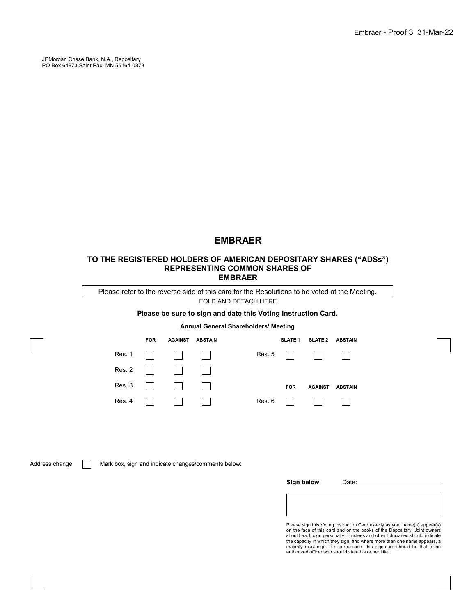JPMorgan Chase Bank, N.A., Depositary PO Box 64873 Saint Paul MN 55164-0873

# **EMBRAER**

## **TO THE REGISTERED HOLDERS OF AMERICAN DEPOSITARY SHARES ("ADSs") REPRESENTING COMMON SHARES OF EMBRAER**

Please refer to the reverse side of this card for the Resolutions to be voted at the Meeting.

FOLD AND DETACH HERE

## **Please be sure to sign and date this Voting Instruction Card.**

## **Annual General Shareholders' Meeting**

| <b>FOR</b> | AGAINST ABSTAIN                                                     |  |            | SLATE 1 SLATE 2 ABSTAIN |  |
|------------|---------------------------------------------------------------------|--|------------|-------------------------|--|
|            | Res. 1                                                              |  |            | Res. 5                  |  |
|            |                                                                     |  |            |                         |  |
|            | Res. 3 $\begin{array}{ c c c c c }\n\hline\n1 & 1 & 1\n\end{array}$ |  | <b>FOR</b> | AGAINST ABSTAIN         |  |
|            | Res. 4 $\Box$                                                       |  |            | Res. 6                  |  |

Address change **Mark box, sign and indicate changes/comments below:** 

| Sign below | Date: |  |
|------------|-------|--|
|            |       |  |
|            |       |  |

Please sign this Voting Instruction Card exactly as your name(s) appear(s) on the face of this card and on the books of the Depositary. Joint owners<br>should each sign personally. Trustees and other fiduciaries should indicate<br>the capacity in which they sign, and where more than one name appears, a majority must sign. If a corporation, this signature should be that of an authorized officer who should state his or her title.